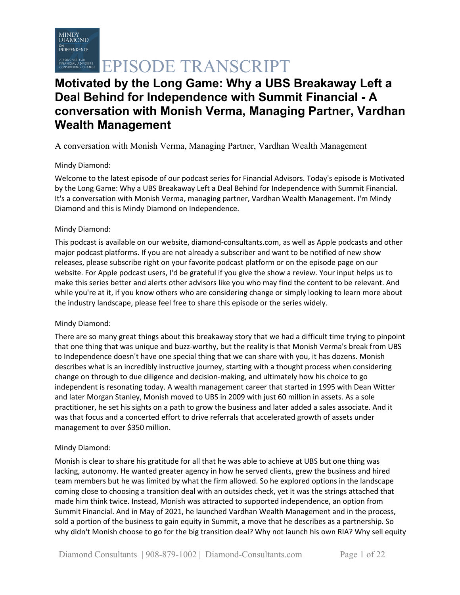# A PODCAST FOR SANSCRIPT

# **Motivated by the Long Game: Why a UBS Breakaway Left a Deal Behind for Independence with Summit Financial - A conversation with Monish Verma, Managing Partner, Vardhan Wealth Management**

A conversation with Monish Verma, Managing Partner, Vardhan Wealth Management

### Mindy Diamond:

Welcome to the latest episode of our podcast series for Financial Advisors. Today's episode is Motivated by the Long Game: Why a UBS Breakaway Left a Deal Behind for Independence with Summit Financial. It's a conversation with Monish Verma, managing partner, Vardhan Wealth Management. I'm Mindy Diamond and this is Mindy Diamond on Independence.

### Mindy Diamond:

This podcast is available on our website, diamond-consultants.com, as well as Apple podcasts and other major podcast platforms. If you are not already a subscriber and want to be notified of new show releases, please subscribe right on your favorite podcast platform or on the episode page on our website. For Apple podcast users, I'd be grateful if you give the show a review. Your input helps us to make this series better and alerts other advisors like you who may find the content to be relevant. And while you're at it, if you know others who are considering change or simply looking to learn more about the industry landscape, please feel free to share this episode or the series widely.

### Mindy Diamond:

There are so many great things about this breakaway story that we had a difficult time trying to pinpoint that one thing that was unique and buzz-worthy, but the reality is that Monish Verma's break from UBS to Independence doesn't have one special thing that we can share with you, it has dozens. Monish describes what is an incredibly instructive journey, starting with a thought process when considering change on through to due diligence and decision-making, and ultimately how his choice to go independent is resonating today. A wealth management career that started in 1995 with Dean Witter and later Morgan Stanley, Monish moved to UBS in 2009 with just 60 million in assets. As a sole practitioner, he set his sights on a path to grow the business and later added a sales associate. And it was that focus and a concerted effort to drive referrals that accelerated growth of assets under management to over \$350 million.

### Mindy Diamond:

Monish is clear to share his gratitude for all that he was able to achieve at UBS but one thing was lacking, autonomy. He wanted greater agency in how he served clients, grew the business and hired team members but he was limited by what the firm allowed. So he explored options in the landscape coming close to choosing a transition deal with an outsides check, yet it was the strings attached that made him think twice. Instead, Monish was attracted to supported independence, an option from Summit Financial. And in May of 2021, he launched Vardhan Wealth Management and in the process, sold a portion of the business to gain equity in Summit, a move that he describes as a partnership. So why didn't Monish choose to go for the big transition deal? Why not launch his own RIA? Why sell equity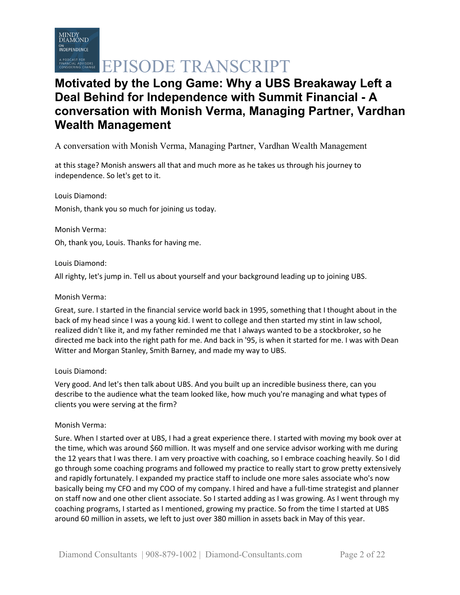# **Motivated by the Long Game: Why a UBS Breakaway Left a Deal Behind for Independence with Summit Financial - A conversation with Monish Verma, Managing Partner, Vardhan Wealth Management**

A conversation with Monish Verma, Managing Partner, Vardhan Wealth Management

at this stage? Monish answers all that and much more as he takes us through his journey to independence. So let's get to it.

Louis Diamond: Monish, thank you so much for joining us today.

Monish Verma:

Oh, thank you, Louis. Thanks for having me.

#### Louis Diamond:

All righty, let's jump in. Tell us about yourself and your background leading up to joining UBS.

#### Monish Verma:

Great, sure. I started in the financial service world back in 1995, something that I thought about in the back of my head since I was a young kid. I went to college and then started my stint in law school, realized didn't like it, and my father reminded me that I always wanted to be a stockbroker, so he directed me back into the right path for me. And back in '95, is when it started for me. I was with Dean Witter and Morgan Stanley, Smith Barney, and made my way to UBS.

#### Louis Diamond:

Very good. And let's then talk about UBS. And you built up an incredible business there, can you describe to the audience what the team looked like, how much you're managing and what types of clients you were serving at the firm?

#### Monish Verma:

Sure. When I started over at UBS, I had a great experience there. I started with moving my book over at the time, which was around \$60 million. It was myself and one service advisor working with me during the 12 years that I was there. I am very proactive with coaching, so I embrace coaching heavily. So I did go through some coaching programs and followed my practice to really start to grow pretty extensively and rapidly fortunately. I expanded my practice staff to include one more sales associate who's now basically being my CFO and my COO of my company. I hired and have a full-time strategist and planner on staff now and one other client associate. So I started adding as I was growing. As I went through my coaching programs, I started as I mentioned, growing my practice. So from the time I started at UBS around 60 million in assets, we left to just over 380 million in assets back in May of this year.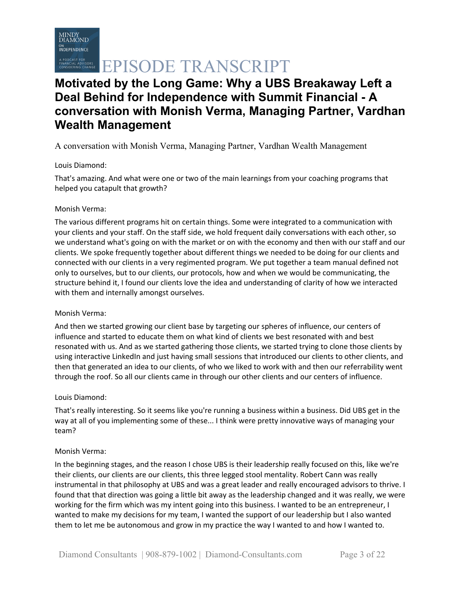# **Motivated by the Long Game: Why a UBS Breakaway Left a Deal Behind for Independence with Summit Financial - A conversation with Monish Verma, Managing Partner, Vardhan Wealth Management**

A conversation with Monish Verma, Managing Partner, Vardhan Wealth Management

### Louis Diamond:

That's amazing. And what were one or two of the main learnings from your coaching programs that helped you catapult that growth?

#### Monish Verma:

The various different programs hit on certain things. Some were integrated to a communication with your clients and your staff. On the staff side, we hold frequent daily conversations with each other, so we understand what's going on with the market or on with the economy and then with our staff and our clients. We spoke frequently together about different things we needed to be doing for our clients and connected with our clients in a very regimented program. We put together a team manual defined not only to ourselves, but to our clients, our protocols, how and when we would be communicating, the structure behind it, I found our clients love the idea and understanding of clarity of how we interacted with them and internally amongst ourselves.

#### Monish Verma:

And then we started growing our client base by targeting our spheres of influence, our centers of influence and started to educate them on what kind of clients we best resonated with and best resonated with us. And as we started gathering those clients, we started trying to clone those clients by using interactive LinkedIn and just having small sessions that introduced our clients to other clients, and then that generated an idea to our clients, of who we liked to work with and then our referrability went through the roof. So all our clients came in through our other clients and our centers of influence.

#### Louis Diamond:

That's really interesting. So it seems like you're running a business within a business. Did UBS get in the way at all of you implementing some of these... I think were pretty innovative ways of managing your team?

#### Monish Verma:

In the beginning stages, and the reason I chose UBS is their leadership really focused on this, like we're their clients, our clients are our clients, this three legged stool mentality. Robert Cann was really instrumental in that philosophy at UBS and was a great leader and really encouraged advisors to thrive. I found that that direction was going a little bit away as the leadership changed and it was really, we were working for the firm which was my intent going into this business. I wanted to be an entrepreneur, I wanted to make my decisions for my team, I wanted the support of our leadership but I also wanted them to let me be autonomous and grow in my practice the way I wanted to and how I wanted to.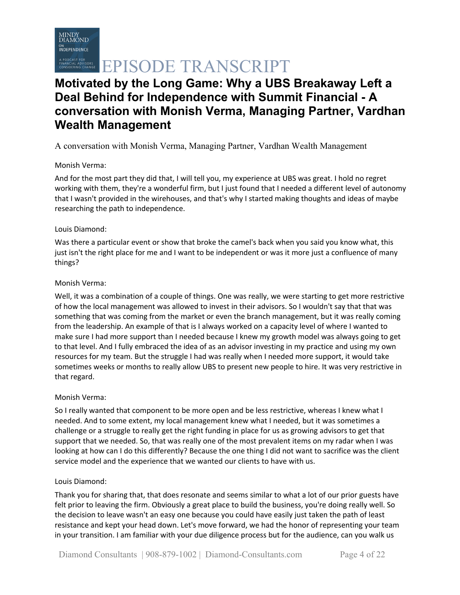# **Motivated by the Long Game: Why a UBS Breakaway Left a Deal Behind for Independence with Summit Financial - A conversation with Monish Verma, Managing Partner, Vardhan Wealth Management**

A conversation with Monish Verma, Managing Partner, Vardhan Wealth Management

### Monish Verma:

And for the most part they did that, I will tell you, my experience at UBS was great. I hold no regret working with them, they're a wonderful firm, but I just found that I needed a different level of autonomy that I wasn't provided in the wirehouses, and that's why I started making thoughts and ideas of maybe researching the path to independence.

#### Louis Diamond:

Was there a particular event or show that broke the camel's back when you said you know what, this just isn't the right place for me and I want to be independent or was it more just a confluence of many things?

#### Monish Verma:

Well, it was a combination of a couple of things. One was really, we were starting to get more restrictive of how the local management was allowed to invest in their advisors. So I wouldn't say that that was something that was coming from the market or even the branch management, but it was really coming from the leadership. An example of that is I always worked on a capacity level of where I wanted to make sure I had more support than I needed because I knew my growth model was always going to get to that level. And I fully embraced the idea of as an advisor investing in my practice and using my own resources for my team. But the struggle I had was really when I needed more support, it would take sometimes weeks or months to really allow UBS to present new people to hire. It was very restrictive in that regard.

### Monish Verma:

So I really wanted that component to be more open and be less restrictive, whereas I knew what I needed. And to some extent, my local management knew what I needed, but it was sometimes a challenge or a struggle to really get the right funding in place for us as growing advisors to get that support that we needed. So, that was really one of the most prevalent items on my radar when I was looking at how can I do this differently? Because the one thing I did not want to sacrifice was the client service model and the experience that we wanted our clients to have with us.

#### Louis Diamond:

Thank you for sharing that, that does resonate and seems similar to what a lot of our prior guests have felt prior to leaving the firm. Obviously a great place to build the business, you're doing really well. So the decision to leave wasn't an easy one because you could have easily just taken the path of least resistance and kept your head down. Let's move forward, we had the honor of representing your team in your transition. I am familiar with your due diligence process but for the audience, can you walk us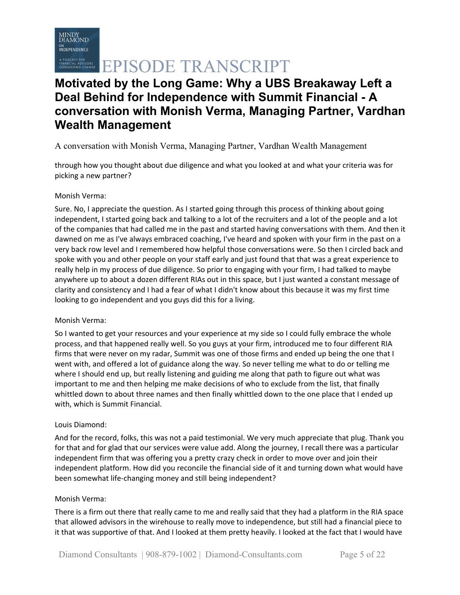# **Motivated by the Long Game: Why a UBS Breakaway Left a Deal Behind for Independence with Summit Financial - A conversation with Monish Verma, Managing Partner, Vardhan Wealth Management**

## A conversation with Monish Verma, Managing Partner, Vardhan Wealth Management

through how you thought about due diligence and what you looked at and what your criteria was for picking a new partner?

#### Monish Verma:

Sure. No, I appreciate the question. As I started going through this process of thinking about going independent, I started going back and talking to a lot of the recruiters and a lot of the people and a lot of the companies that had called me in the past and started having conversations with them. And then it dawned on me as I've always embraced coaching, I've heard and spoken with your firm in the past on a very back row level and I remembered how helpful those conversations were. So then I circled back and spoke with you and other people on your staff early and just found that that was a great experience to really help in my process of due diligence. So prior to engaging with your firm, I had talked to maybe anywhere up to about a dozen different RIAs out in this space, but I just wanted a constant message of clarity and consistency and I had a fear of what I didn't know about this because it was my first time looking to go independent and you guys did this for a living.

#### Monish Verma:

So I wanted to get your resources and your experience at my side so I could fully embrace the whole process, and that happened really well. So you guys at your firm, introduced me to four different RIA firms that were never on my radar, Summit was one of those firms and ended up being the one that I went with, and offered a lot of guidance along the way. So never telling me what to do or telling me where I should end up, but really listening and guiding me along that path to figure out what was important to me and then helping me make decisions of who to exclude from the list, that finally whittled down to about three names and then finally whittled down to the one place that I ended up with, which is Summit Financial.

#### Louis Diamond:

And for the record, folks, this was not a paid testimonial. We very much appreciate that plug. Thank you for that and for glad that our services were value add. Along the journey, I recall there was a particular independent firm that was offering you a pretty crazy check in order to move over and join their independent platform. How did you reconcile the financial side of it and turning down what would have been somewhat life-changing money and still being independent?

#### Monish Verma:

There is a firm out there that really came to me and really said that they had a platform in the RIA space that allowed advisors in the wirehouse to really move to independence, but still had a financial piece to it that was supportive of that. And I looked at them pretty heavily. I looked at the fact that I would have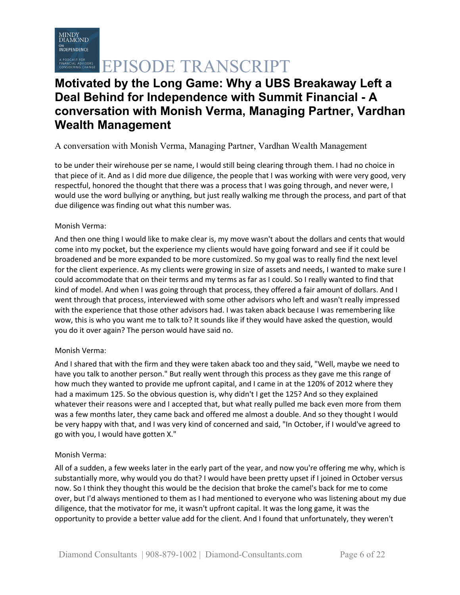

# CONTRESSERIE EPISODE TRANSCRIPT

# **Motivated by the Long Game: Why a UBS Breakaway Left a Deal Behind for Independence with Summit Financial - A conversation with Monish Verma, Managing Partner, Vardhan Wealth Management**

## A conversation with Monish Verma, Managing Partner, Vardhan Wealth Management

to be under their wirehouse per se name, I would still being clearing through them. I had no choice in that piece of it. And as I did more due diligence, the people that I was working with were very good, very respectful, honored the thought that there was a process that I was going through, and never were, I would use the word bullying or anything, but just really walking me through the process, and part of that due diligence was finding out what this number was.

#### Monish Verma:

And then one thing I would like to make clear is, my move wasn't about the dollars and cents that would come into my pocket, but the experience my clients would have going forward and see if it could be broadened and be more expanded to be more customized. So my goal was to really find the next level for the client experience. As my clients were growing in size of assets and needs, I wanted to make sure I could accommodate that on their terms and my terms as far as I could. So I really wanted to find that kind of model. And when I was going through that process, they offered a fair amount of dollars. And I went through that process, interviewed with some other advisors who left and wasn't really impressed with the experience that those other advisors had. I was taken aback because I was remembering like wow, this is who you want me to talk to? It sounds like if they would have asked the question, would you do it over again? The person would have said no.

#### Monish Verma:

And I shared that with the firm and they were taken aback too and they said, "Well, maybe we need to have you talk to another person." But really went through this process as they gave me this range of how much they wanted to provide me upfront capital, and I came in at the 120% of 2012 where they had a maximum 125. So the obvious question is, why didn't I get the 125? And so they explained whatever their reasons were and I accepted that, but what really pulled me back even more from them was a few months later, they came back and offered me almost a double. And so they thought I would be very happy with that, and I was very kind of concerned and said, "In October, if I would've agreed to go with you, I would have gotten X."

#### Monish Verma:

All of a sudden, a few weeks later in the early part of the year, and now you're offering me why, which is substantially more, why would you do that? I would have been pretty upset if I joined in October versus now. So I think they thought this would be the decision that broke the camel's back for me to come over, but I'd always mentioned to them as I had mentioned to everyone who was listening about my due diligence, that the motivator for me, it wasn't upfront capital. It was the long game, it was the opportunity to provide a better value add for the client. And I found that unfortunately, they weren't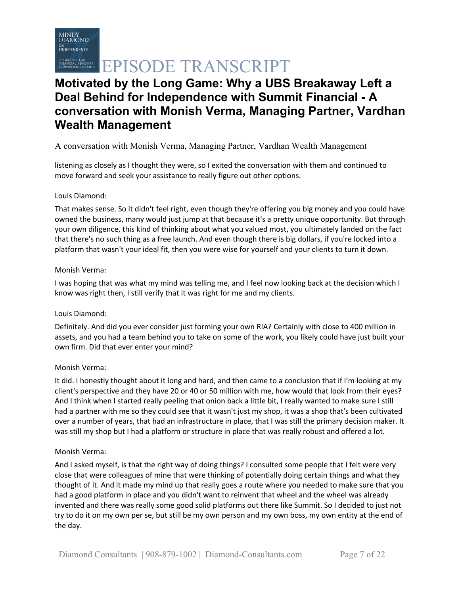# **Motivated by the Long Game: Why a UBS Breakaway Left a Deal Behind for Independence with Summit Financial - A conversation with Monish Verma, Managing Partner, Vardhan Wealth Management**

## A conversation with Monish Verma, Managing Partner, Vardhan Wealth Management

listening as closely as I thought they were, so I exited the conversation with them and continued to move forward and seek your assistance to really figure out other options.

#### Louis Diamond:

That makes sense. So it didn't feel right, even though they're offering you big money and you could have owned the business, many would just jump at that because it's a pretty unique opportunity. But through your own diligence, this kind of thinking about what you valued most, you ultimately landed on the fact that there's no such thing as a free launch. And even though there is big dollars, if you're locked into a platform that wasn't your ideal fit, then you were wise for yourself and your clients to turn it down.

#### Monish Verma:

I was hoping that was what my mind was telling me, and I feel now looking back at the decision which I know was right then, I still verify that it was right for me and my clients.

#### Louis Diamond:

Definitely. And did you ever consider just forming your own RIA? Certainly with close to 400 million in assets, and you had a team behind you to take on some of the work, you likely could have just built your own firm. Did that ever enter your mind?

#### Monish Verma:

It did. I honestly thought about it long and hard, and then came to a conclusion that if I'm looking at my client's perspective and they have 20 or 40 or 50 million with me, how would that look from their eyes? And I think when I started really peeling that onion back a little bit, I really wanted to make sure I still had a partner with me so they could see that it wasn't just my shop, it was a shop that's been cultivated over a number of years, that had an infrastructure in place, that I was still the primary decision maker. It was still my shop but I had a platform or structure in place that was really robust and offered a lot.

#### Monish Verma:

And I asked myself, is that the right way of doing things? I consulted some people that I felt were very close that were colleagues of mine that were thinking of potentially doing certain things and what they thought of it. And it made my mind up that really goes a route where you needed to make sure that you had a good platform in place and you didn't want to reinvent that wheel and the wheel was already invented and there was really some good solid platforms out there like Summit. So I decided to just not try to do it on my own per se, but still be my own person and my own boss, my own entity at the end of the day.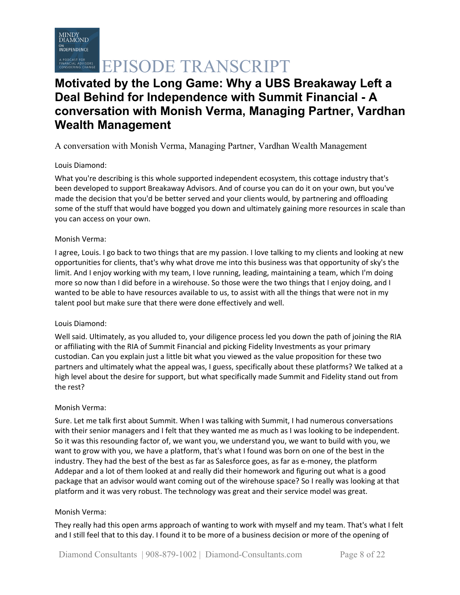# **Motivated by the Long Game: Why a UBS Breakaway Left a Deal Behind for Independence with Summit Financial - A conversation with Monish Verma, Managing Partner, Vardhan Wealth Management**

## A conversation with Monish Verma, Managing Partner, Vardhan Wealth Management

### Louis Diamond:

What you're describing is this whole supported independent ecosystem, this cottage industry that's been developed to support Breakaway Advisors. And of course you can do it on your own, but you've made the decision that you'd be better served and your clients would, by partnering and offloading some of the stuff that would have bogged you down and ultimately gaining more resources in scale than you can access on your own.

#### Monish Verma:

I agree, Louis. I go back to two things that are my passion. I love talking to my clients and looking at new opportunities for clients, that's why what drove me into this business was that opportunity of sky's the limit. And I enjoy working with my team, I love running, leading, maintaining a team, which I'm doing more so now than I did before in a wirehouse. So those were the two things that I enjoy doing, and I wanted to be able to have resources available to us, to assist with all the things that were not in my talent pool but make sure that there were done effectively and well.

#### Louis Diamond:

Well said. Ultimately, as you alluded to, your diligence process led you down the path of joining the RIA or affiliating with the RIA of Summit Financial and picking Fidelity Investments as your primary custodian. Can you explain just a little bit what you viewed as the value proposition for these two partners and ultimately what the appeal was, I guess, specifically about these platforms? We talked at a high level about the desire for support, but what specifically made Summit and Fidelity stand out from the rest?

#### Monish Verma:

Sure. Let me talk first about Summit. When I was talking with Summit, I had numerous conversations with their senior managers and I felt that they wanted me as much as I was looking to be independent. So it was this resounding factor of, we want you, we understand you, we want to build with you, we want to grow with you, we have a platform, that's what I found was born on one of the best in the industry. They had the best of the best as far as Salesforce goes, as far as e-money, the platform Addepar and a lot of them looked at and really did their homework and figuring out what is a good package that an advisor would want coming out of the wirehouse space? So I really was looking at that platform and it was very robust. The technology was great and their service model was great.

#### Monish Verma:

They really had this open arms approach of wanting to work with myself and my team. That's what I felt and I still feel that to this day. I found it to be more of a business decision or more of the opening of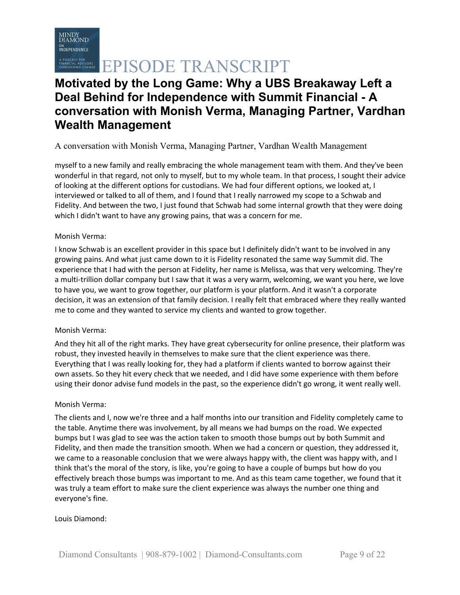

# **ERING CHANGE EPISODE TRANSCRIPT**

# **Motivated by the Long Game: Why a UBS Breakaway Left a Deal Behind for Independence with Summit Financial - A conversation with Monish Verma, Managing Partner, Vardhan Wealth Management**

### A conversation with Monish Verma, Managing Partner, Vardhan Wealth Management

myself to a new family and really embracing the whole management team with them. And they've been wonderful in that regard, not only to myself, but to my whole team. In that process, I sought their advice of looking at the different options for custodians. We had four different options, we looked at, I interviewed or talked to all of them, and I found that I really narrowed my scope to a Schwab and Fidelity. And between the two, I just found that Schwab had some internal growth that they were doing which I didn't want to have any growing pains, that was a concern for me.

#### Monish Verma:

I know Schwab is an excellent provider in this space but I definitely didn't want to be involved in any growing pains. And what just came down to it is Fidelity resonated the same way Summit did. The experience that I had with the person at Fidelity, her name is Melissa, was that very welcoming. They're a multi-trillion dollar company but I saw that it was a very warm, welcoming, we want you here, we love to have you, we want to grow together, our platform is your platform. And it wasn't a corporate decision, it was an extension of that family decision. I really felt that embraced where they really wanted me to come and they wanted to service my clients and wanted to grow together.

#### Monish Verma:

And they hit all of the right marks. They have great cybersecurity for online presence, their platform was robust, they invested heavily in themselves to make sure that the client experience was there. Everything that I was really looking for, they had a platform if clients wanted to borrow against their own assets. So they hit every check that we needed, and I did have some experience with them before using their donor advise fund models in the past, so the experience didn't go wrong, it went really well.

#### Monish Verma:

The clients and I, now we're three and a half months into our transition and Fidelity completely came to the table. Anytime there was involvement, by all means we had bumps on the road. We expected bumps but I was glad to see was the action taken to smooth those bumps out by both Summit and Fidelity, and then made the transition smooth. When we had a concern or question, they addressed it, we came to a reasonable conclusion that we were always happy with, the client was happy with, and I think that's the moral of the story, is like, you're going to have a couple of bumps but how do you effectively breach those bumps was important to me. And as this team came together, we found that it was truly a team effort to make sure the client experience was always the number one thing and everyone's fine.

#### Louis Diamond: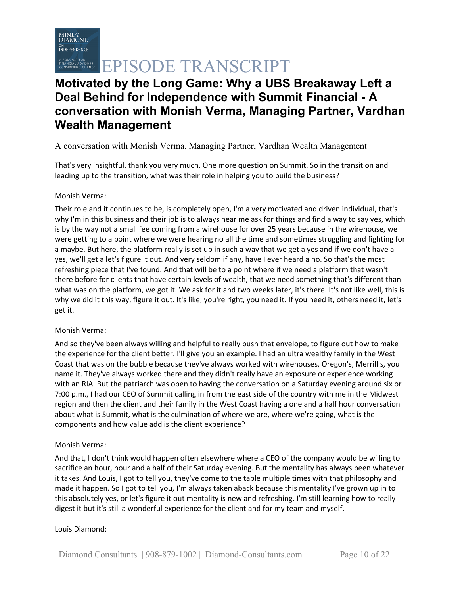

# **Motivated by the Long Game: Why a UBS Breakaway Left a Deal Behind for Independence with Summit Financial - A conversation with Monish Verma, Managing Partner, Vardhan Wealth Management**

## A conversation with Monish Verma, Managing Partner, Vardhan Wealth Management

That's very insightful, thank you very much. One more question on Summit. So in the transition and leading up to the transition, what was their role in helping you to build the business?

#### Monish Verma:

Their role and it continues to be, is completely open, I'm a very motivated and driven individual, that's why I'm in this business and their job is to always hear me ask for things and find a way to say yes, which is by the way not a small fee coming from a wirehouse for over 25 years because in the wirehouse, we were getting to a point where we were hearing no all the time and sometimes struggling and fighting for a maybe. But here, the platform really is set up in such a way that we get a yes and if we don't have a yes, we'll get a let's figure it out. And very seldom if any, have I ever heard a no. So that's the most refreshing piece that I've found. And that will be to a point where if we need a platform that wasn't there before for clients that have certain levels of wealth, that we need something that's different than what was on the platform, we got it. We ask for it and two weeks later, it's there. It's not like well, this is why we did it this way, figure it out. It's like, you're right, you need it. If you need it, others need it, let's get it.

#### Monish Verma:

And so they've been always willing and helpful to really push that envelope, to figure out how to make the experience for the client better. I'll give you an example. I had an ultra wealthy family in the West Coast that was on the bubble because they've always worked with wirehouses, Oregon's, Merrill's, you name it. They've always worked there and they didn't really have an exposure or experience working with an RIA. But the patriarch was open to having the conversation on a Saturday evening around six or 7:00 p.m., I had our CEO of Summit calling in from the east side of the country with me in the Midwest region and then the client and their family in the West Coast having a one and a half hour conversation about what is Summit, what is the culmination of where we are, where we're going, what is the components and how value add is the client experience?

#### Monish Verma:

And that, I don't think would happen often elsewhere where a CEO of the company would be willing to sacrifice an hour, hour and a half of their Saturday evening. But the mentality has always been whatever it takes. And Louis, I got to tell you, they've come to the table multiple times with that philosophy and made it happen. So I got to tell you, I'm always taken aback because this mentality I've grown up in to this absolutely yes, or let's figure it out mentality is new and refreshing. I'm still learning how to really digest it but it's still a wonderful experience for the client and for my team and myself.

#### Louis Diamond: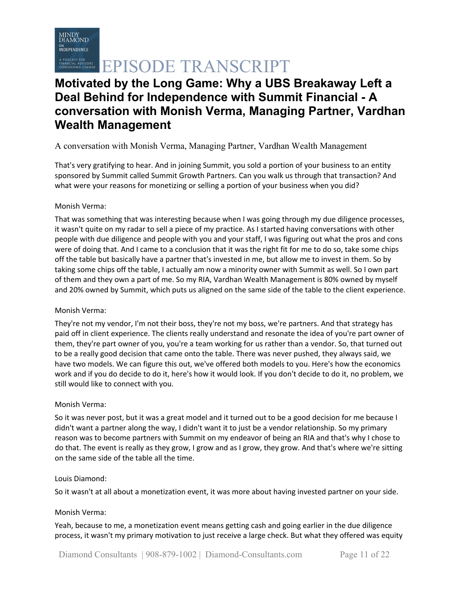

# **Motivated by the Long Game: Why a UBS Breakaway Left a Deal Behind for Independence with Summit Financial - A conversation with Monish Verma, Managing Partner, Vardhan Wealth Management**

## A conversation with Monish Verma, Managing Partner, Vardhan Wealth Management

That's very gratifying to hear. And in joining Summit, you sold a portion of your business to an entity sponsored by Summit called Summit Growth Partners. Can you walk us through that transaction? And what were your reasons for monetizing or selling a portion of your business when you did?

#### Monish Verma:

That was something that was interesting because when I was going through my due diligence processes, it wasn't quite on my radar to sell a piece of my practice. As I started having conversations with other people with due diligence and people with you and your staff, I was figuring out what the pros and cons were of doing that. And I came to a conclusion that it was the right fit for me to do so, take some chips off the table but basically have a partner that's invested in me, but allow me to invest in them. So by taking some chips off the table, I actually am now a minority owner with Summit as well. So I own part of them and they own a part of me. So my RIA, Vardhan Wealth Management is 80% owned by myself and 20% owned by Summit, which puts us aligned on the same side of the table to the client experience.

#### Monish Verma:

They're not my vendor, I'm not their boss, they're not my boss, we're partners. And that strategy has paid off in client experience. The clients really understand and resonate the idea of you're part owner of them, they're part owner of you, you're a team working for us rather than a vendor. So, that turned out to be a really good decision that came onto the table. There was never pushed, they always said, we have two models. We can figure this out, we've offered both models to you. Here's how the economics work and if you do decide to do it, here's how it would look. If you don't decide to do it, no problem, we still would like to connect with you.

#### Monish Verma:

So it was never post, but it was a great model and it turned out to be a good decision for me because I didn't want a partner along the way, I didn't want it to just be a vendor relationship. So my primary reason was to become partners with Summit on my endeavor of being an RIA and that's why I chose to do that. The event is really as they grow, I grow and as I grow, they grow. And that's where we're sitting on the same side of the table all the time.

#### Louis Diamond:

So it wasn't at all about a monetization event, it was more about having invested partner on your side.

#### Monish Verma:

Yeah, because to me, a monetization event means getting cash and going earlier in the due diligence process, it wasn't my primary motivation to just receive a large check. But what they offered was equity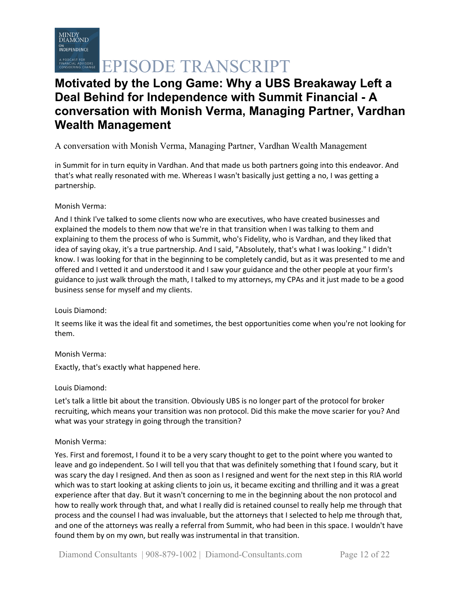# **Motivated by the Long Game: Why a UBS Breakaway Left a Deal Behind for Independence with Summit Financial - A conversation with Monish Verma, Managing Partner, Vardhan Wealth Management**

## A conversation with Monish Verma, Managing Partner, Vardhan Wealth Management

in Summit for in turn equity in Vardhan. And that made us both partners going into this endeavor. And that's what really resonated with me. Whereas I wasn't basically just getting a no, I was getting a partnership.

### Monish Verma:

And I think I've talked to some clients now who are executives, who have created businesses and explained the models to them now that we're in that transition when I was talking to them and explaining to them the process of who is Summit, who's Fidelity, who is Vardhan, and they liked that idea of saying okay, it's a true partnership. And I said, "Absolutely, that's what I was looking." I didn't know. I was looking for that in the beginning to be completely candid, but as it was presented to me and offered and I vetted it and understood it and I saw your guidance and the other people at your firm's guidance to just walk through the math, I talked to my attorneys, my CPAs and it just made to be a good business sense for myself and my clients.

#### Louis Diamond:

It seems like it was the ideal fit and sometimes, the best opportunities come when you're not looking for them.

#### Monish Verma:

Exactly, that's exactly what happened here.

#### Louis Diamond:

Let's talk a little bit about the transition. Obviously UBS is no longer part of the protocol for broker recruiting, which means your transition was non protocol. Did this make the move scarier for you? And what was your strategy in going through the transition?

#### Monish Verma:

Yes. First and foremost, I found it to be a very scary thought to get to the point where you wanted to leave and go independent. So I will tell you that that was definitely something that I found scary, but it was scary the day I resigned. And then as soon as I resigned and went for the next step in this RIA world which was to start looking at asking clients to join us, it became exciting and thrilling and it was a great experience after that day. But it wasn't concerning to me in the beginning about the non protocol and how to really work through that, and what I really did is retained counsel to really help me through that process and the counsel I had was invaluable, but the attorneys that I selected to help me through that, and one of the attorneys was really a referral from Summit, who had been in this space. I wouldn't have found them by on my own, but really was instrumental in that transition.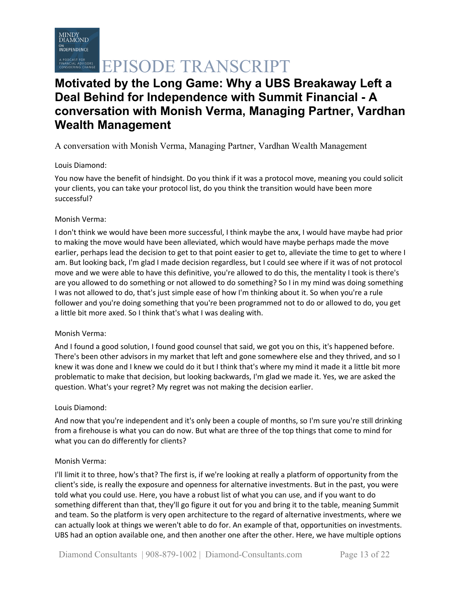# **Motivated by the Long Game: Why a UBS Breakaway Left a Deal Behind for Independence with Summit Financial - A conversation with Monish Verma, Managing Partner, Vardhan Wealth Management**

A conversation with Monish Verma, Managing Partner, Vardhan Wealth Management

### Louis Diamond:

You now have the benefit of hindsight. Do you think if it was a protocol move, meaning you could solicit your clients, you can take your protocol list, do you think the transition would have been more successful?

### Monish Verma:

I don't think we would have been more successful, I think maybe the anx, I would have maybe had prior to making the move would have been alleviated, which would have maybe perhaps made the move earlier, perhaps lead the decision to get to that point easier to get to, alleviate the time to get to where I am. But looking back, I'm glad I made decision regardless, but I could see where if it was of not protocol move and we were able to have this definitive, you're allowed to do this, the mentality I took is there's are you allowed to do something or not allowed to do something? So I in my mind was doing something I was not allowed to do, that's just simple ease of how I'm thinking about it. So when you're a rule follower and you're doing something that you're been programmed not to do or allowed to do, you get a little bit more axed. So I think that's what I was dealing with.

### Monish Verma:

And I found a good solution, I found good counsel that said, we got you on this, it's happened before. There's been other advisors in my market that left and gone somewhere else and they thrived, and so I knew it was done and I knew we could do it but I think that's where my mind it made it a little bit more problematic to make that decision, but looking backwards, I'm glad we made it. Yes, we are asked the question. What's your regret? My regret was not making the decision earlier.

### Louis Diamond:

And now that you're independent and it's only been a couple of months, so I'm sure you're still drinking from a firehouse is what you can do now. But what are three of the top things that come to mind for what you can do differently for clients?

### Monish Verma:

I'll limit it to three, how's that? The first is, if we're looking at really a platform of opportunity from the client's side, is really the exposure and openness for alternative investments. But in the past, you were told what you could use. Here, you have a robust list of what you can use, and if you want to do something different than that, they'll go figure it out for you and bring it to the table, meaning Summit and team. So the platform is very open architecture to the regard of alternative investments, where we can actually look at things we weren't able to do for. An example of that, opportunities on investments. UBS had an option available one, and then another one after the other. Here, we have multiple options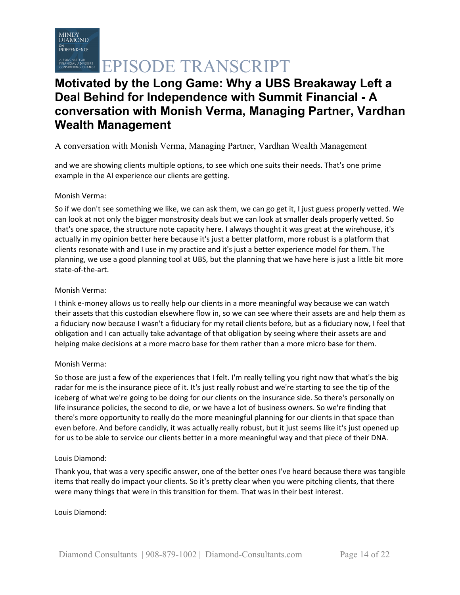# **Motivated by the Long Game: Why a UBS Breakaway Left a Deal Behind for Independence with Summit Financial - A conversation with Monish Verma, Managing Partner, Vardhan Wealth Management**

## A conversation with Monish Verma, Managing Partner, Vardhan Wealth Management

and we are showing clients multiple options, to see which one suits their needs. That's one prime example in the AI experience our clients are getting.

#### Monish Verma:

So if we don't see something we like, we can ask them, we can go get it, I just guess properly vetted. We can look at not only the bigger monstrosity deals but we can look at smaller deals properly vetted. So that's one space, the structure note capacity here. I always thought it was great at the wirehouse, it's actually in my opinion better here because it's just a better platform, more robust is a platform that clients resonate with and I use in my practice and it's just a better experience model for them. The planning, we use a good planning tool at UBS, but the planning that we have here is just a little bit more state-of-the-art.

#### Monish Verma:

I think e-money allows us to really help our clients in a more meaningful way because we can watch their assets that this custodian elsewhere flow in, so we can see where their assets are and help them as a fiduciary now because I wasn't a fiduciary for my retail clients before, but as a fiduciary now, I feel that obligation and I can actually take advantage of that obligation by seeing where their assets are and helping make decisions at a more macro base for them rather than a more micro base for them.

#### Monish Verma:

So those are just a few of the experiences that I felt. I'm really telling you right now that what's the big radar for me is the insurance piece of it. It's just really robust and we're starting to see the tip of the iceberg of what we're going to be doing for our clients on the insurance side. So there's personally on life insurance policies, the second to die, or we have a lot of business owners. So we're finding that there's more opportunity to really do the more meaningful planning for our clients in that space than even before. And before candidly, it was actually really robust, but it just seems like it's just opened up for us to be able to service our clients better in a more meaningful way and that piece of their DNA.

#### Louis Diamond:

Thank you, that was a very specific answer, one of the better ones I've heard because there was tangible items that really do impact your clients. So it's pretty clear when you were pitching clients, that there were many things that were in this transition for them. That was in their best interest.

#### Louis Diamond: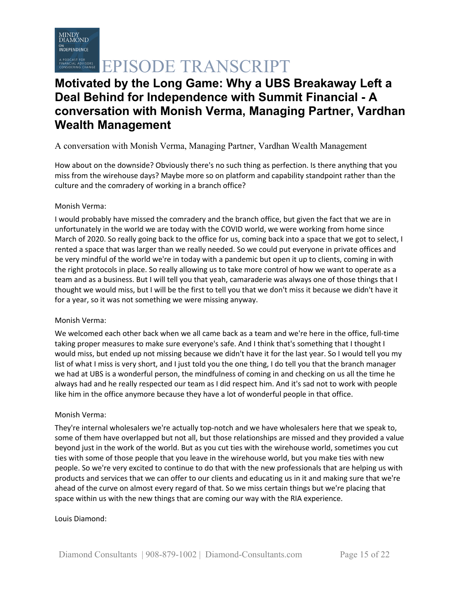

# **ERING CHANGE EPISODE TRANSCRIPT**

# **Motivated by the Long Game: Why a UBS Breakaway Left a Deal Behind for Independence with Summit Financial - A conversation with Monish Verma, Managing Partner, Vardhan Wealth Management**

## A conversation with Monish Verma, Managing Partner, Vardhan Wealth Management

How about on the downside? Obviously there's no such thing as perfection. Is there anything that you miss from the wirehouse days? Maybe more so on platform and capability standpoint rather than the culture and the comradery of working in a branch office?

#### Monish Verma:

I would probably have missed the comradery and the branch office, but given the fact that we are in unfortunately in the world we are today with the COVID world, we were working from home since March of 2020. So really going back to the office for us, coming back into a space that we got to select, I rented a space that was larger than we really needed. So we could put everyone in private offices and be very mindful of the world we're in today with a pandemic but open it up to clients, coming in with the right protocols in place. So really allowing us to take more control of how we want to operate as a team and as a business. But I will tell you that yeah, camaraderie was always one of those things that I thought we would miss, but I will be the first to tell you that we don't miss it because we didn't have it for a year, so it was not something we were missing anyway.

#### Monish Verma:

We welcomed each other back when we all came back as a team and we're here in the office, full-time taking proper measures to make sure everyone's safe. And I think that's something that I thought I would miss, but ended up not missing because we didn't have it for the last year. So I would tell you my list of what I miss is very short, and I just told you the one thing, I do tell you that the branch manager we had at UBS is a wonderful person, the mindfulness of coming in and checking on us all the time he always had and he really respected our team as I did respect him. And it's sad not to work with people like him in the office anymore because they have a lot of wonderful people in that office.

#### Monish Verma:

They're internal wholesalers we're actually top-notch and we have wholesalers here that we speak to, some of them have overlapped but not all, but those relationships are missed and they provided a value beyond just in the work of the world. But as you cut ties with the wirehouse world, sometimes you cut ties with some of those people that you leave in the wirehouse world, but you make ties with new people. So we're very excited to continue to do that with the new professionals that are helping us with products and services that we can offer to our clients and educating us in it and making sure that we're ahead of the curve on almost every regard of that. So we miss certain things but we're placing that space within us with the new things that are coming our way with the RIA experience.

#### Louis Diamond: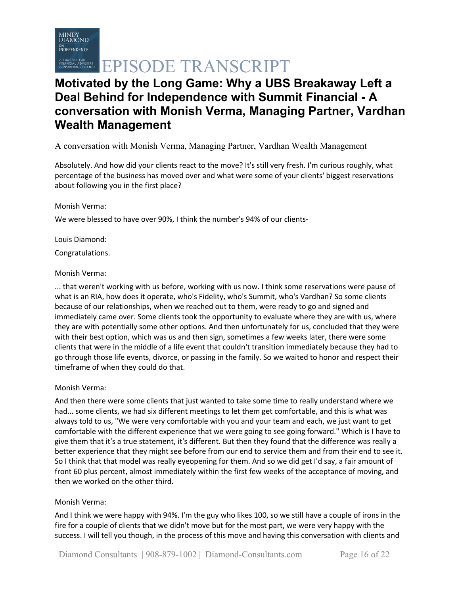# **Motivated by the Long Game: Why a UBS Breakaway Left a Deal Behind for Independence with Summit Financial - A conversation with Monish Verma, Managing Partner, Vardhan Wealth Management**

## A conversation with Monish Verma, Managing Partner, Vardhan Wealth Management

Absolutely. And how did your clients react to the move? It's still very fresh. I'm curious roughly, what percentage of the business has moved over and what were some of your clients' biggest reservations about following you in the first place?

#### Monish Verma:

We were blessed to have over 90%, I think the number's 94% of our clients-

Louis Diamond:

Congratulations.

#### Monish Verma:

... that weren't working with us before, working with us now. I think some reservations were pause of what is an RIA, how does it operate, who's Fidelity, who's Summit, who's Vardhan? So some clients because of our relationships, when we reached out to them, were ready to go and signed and immediately came over. Some clients took the opportunity to evaluate where they are with us, where they are with potentially some other options. And then unfortunately for us, concluded that they were with their best option, which was us and then sign, sometimes a few weeks later, there were some clients that were in the middle of a life event that couldn't transition immediately because they had to go through those life events, divorce, or passing in the family. So we waited to honor and respect their timeframe of when they could do that.

#### Monish Verma:

And then there were some clients that just wanted to take some time to really understand where we had... some clients, we had six different meetings to let them get comfortable, and this is what was always told to us, "We were very comfortable with you and your team and each, we just want to get comfortable with the different experience that we were going to see going forward." Which is I have to give them that it's a true statement, it's different. But then they found that the difference was really a better experience that they might see before from our end to service them and from their end to see it. So I think that that model was really eyeopening for them. And so we did get I'd say, a fair amount of front 60 plus percent, almost immediately within the first few weeks of the acceptance of moving, and then we worked on the other third.

#### Monish Verma:

And I think we were happy with 94%. I'm the guy who likes 100, so we still have a couple of irons in the fire for a couple of clients that we didn't move but for the most part, we were very happy with the success. I will tell you though, in the process of this move and having this conversation with clients and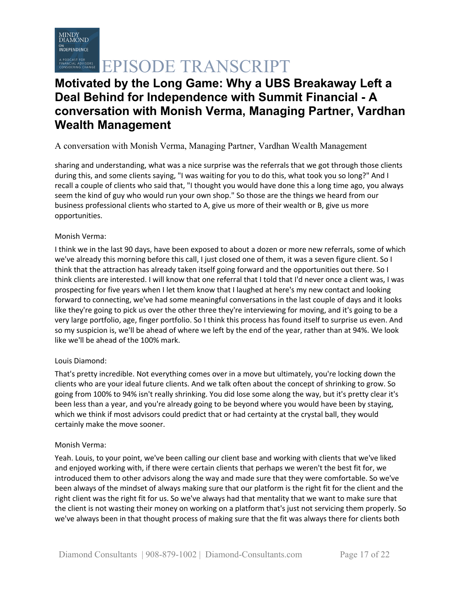

# **Motivated by the Long Game: Why a UBS Breakaway Left a Deal Behind for Independence with Summit Financial - A conversation with Monish Verma, Managing Partner, Vardhan Wealth Management**

### A conversation with Monish Verma, Managing Partner, Vardhan Wealth Management

sharing and understanding, what was a nice surprise was the referrals that we got through those clients during this, and some clients saying, "I was waiting for you to do this, what took you so long?" And I recall a couple of clients who said that, "I thought you would have done this a long time ago, you always seem the kind of guy who would run your own shop." So those are the things we heard from our business professional clients who started to A, give us more of their wealth or B, give us more opportunities.

#### Monish Verma:

I think we in the last 90 days, have been exposed to about a dozen or more new referrals, some of which we've already this morning before this call, I just closed one of them, it was a seven figure client. So I think that the attraction has already taken itself going forward and the opportunities out there. So I think clients are interested. I will know that one referral that I told that I'd never once a client was, I was prospecting for five years when I let them know that I laughed at here's my new contact and looking forward to connecting, we've had some meaningful conversations in the last couple of days and it looks like they're going to pick us over the other three they're interviewing for moving, and it's going to be a very large portfolio, age, finger portfolio. So I think this process has found itself to surprise us even. And so my suspicion is, we'll be ahead of where we left by the end of the year, rather than at 94%. We look like we'll be ahead of the 100% mark.

#### Louis Diamond:

That's pretty incredible. Not everything comes over in a move but ultimately, you're locking down the clients who are your ideal future clients. And we talk often about the concept of shrinking to grow. So going from 100% to 94% isn't really shrinking. You did lose some along the way, but it's pretty clear it's been less than a year, and you're already going to be beyond where you would have been by staying, which we think if most advisors could predict that or had certainty at the crystal ball, they would certainly make the move sooner.

#### Monish Verma:

Yeah. Louis, to your point, we've been calling our client base and working with clients that we've liked and enjoyed working with, if there were certain clients that perhaps we weren't the best fit for, we introduced them to other advisors along the way and made sure that they were comfortable. So we've been always of the mindset of always making sure that our platform is the right fit for the client and the right client was the right fit for us. So we've always had that mentality that we want to make sure that the client is not wasting their money on working on a platform that's just not servicing them properly. So we've always been in that thought process of making sure that the fit was always there for clients both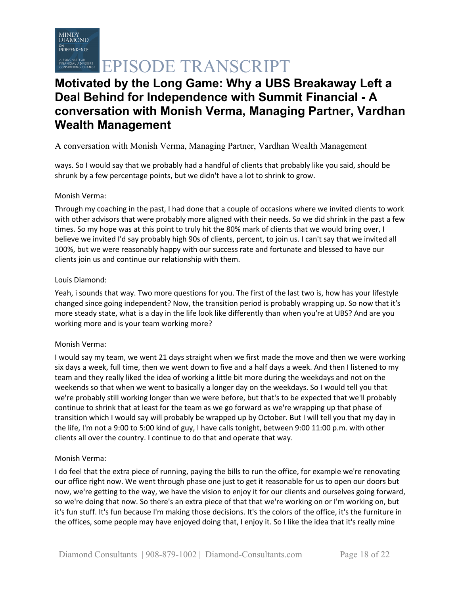# **Motivated by the Long Game: Why a UBS Breakaway Left a Deal Behind for Independence with Summit Financial - A conversation with Monish Verma, Managing Partner, Vardhan Wealth Management**

## A conversation with Monish Verma, Managing Partner, Vardhan Wealth Management

ways. So I would say that we probably had a handful of clients that probably like you said, should be shrunk by a few percentage points, but we didn't have a lot to shrink to grow.

#### Monish Verma:

Through my coaching in the past, I had done that a couple of occasions where we invited clients to work with other advisors that were probably more aligned with their needs. So we did shrink in the past a few times. So my hope was at this point to truly hit the 80% mark of clients that we would bring over, I believe we invited I'd say probably high 90s of clients, percent, to join us. I can't say that we invited all 100%, but we were reasonably happy with our success rate and fortunate and blessed to have our clients join us and continue our relationship with them.

#### Louis Diamond:

Yeah, i sounds that way. Two more questions for you. The first of the last two is, how has your lifestyle changed since going independent? Now, the transition period is probably wrapping up. So now that it's more steady state, what is a day in the life look like differently than when you're at UBS? And are you working more and is your team working more?

#### Monish Verma:

I would say my team, we went 21 days straight when we first made the move and then we were working six days a week, full time, then we went down to five and a half days a week. And then I listened to my team and they really liked the idea of working a little bit more during the weekdays and not on the weekends so that when we went to basically a longer day on the weekdays. So I would tell you that we're probably still working longer than we were before, but that's to be expected that we'll probably continue to shrink that at least for the team as we go forward as we're wrapping up that phase of transition which I would say will probably be wrapped up by October. But I will tell you that my day in the life, I'm not a 9:00 to 5:00 kind of guy, I have calls tonight, between 9:00 11:00 p.m. with other clients all over the country. I continue to do that and operate that way.

#### Monish Verma:

I do feel that the extra piece of running, paying the bills to run the office, for example we're renovating our office right now. We went through phase one just to get it reasonable for us to open our doors but now, we're getting to the way, we have the vision to enjoy it for our clients and ourselves going forward, so we're doing that now. So there's an extra piece of that that we're working on or I'm working on, but it's fun stuff. It's fun because I'm making those decisions. It's the colors of the office, it's the furniture in the offices, some people may have enjoyed doing that, I enjoy it. So I like the idea that it's really mine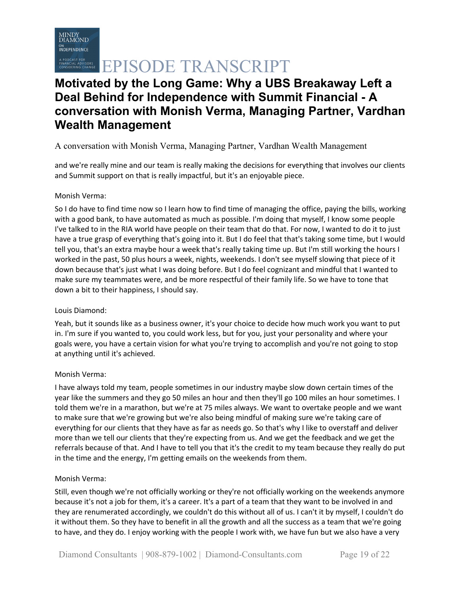# **Motivated by the Long Game: Why a UBS Breakaway Left a Deal Behind for Independence with Summit Financial - A conversation with Monish Verma, Managing Partner, Vardhan Wealth Management**

## A conversation with Monish Verma, Managing Partner, Vardhan Wealth Management

and we're really mine and our team is really making the decisions for everything that involves our clients and Summit support on that is really impactful, but it's an enjoyable piece.

#### Monish Verma:

So I do have to find time now so I learn how to find time of managing the office, paying the bills, working with a good bank, to have automated as much as possible. I'm doing that myself, I know some people I've talked to in the RIA world have people on their team that do that. For now, I wanted to do it to just have a true grasp of everything that's going into it. But I do feel that that's taking some time, but I would tell you, that's an extra maybe hour a week that's really taking time up. But I'm still working the hours I worked in the past, 50 plus hours a week, nights, weekends. I don't see myself slowing that piece of it down because that's just what I was doing before. But I do feel cognizant and mindful that I wanted to make sure my teammates were, and be more respectful of their family life. So we have to tone that down a bit to their happiness, I should say.

#### Louis Diamond:

Yeah, but it sounds like as a business owner, it's your choice to decide how much work you want to put in. I'm sure if you wanted to, you could work less, but for you, just your personality and where your goals were, you have a certain vision for what you're trying to accomplish and you're not going to stop at anything until it's achieved.

#### Monish Verma:

I have always told my team, people sometimes in our industry maybe slow down certain times of the year like the summers and they go 50 miles an hour and then they'll go 100 miles an hour sometimes. I told them we're in a marathon, but we're at 75 miles always. We want to overtake people and we want to make sure that we're growing but we're also being mindful of making sure we're taking care of everything for our clients that they have as far as needs go. So that's why I like to overstaff and deliver more than we tell our clients that they're expecting from us. And we get the feedback and we get the referrals because of that. And I have to tell you that it's the credit to my team because they really do put in the time and the energy, I'm getting emails on the weekends from them.

#### Monish Verma:

Still, even though we're not officially working or they're not officially working on the weekends anymore because it's not a job for them, it's a career. It's a part of a team that they want to be involved in and they are renumerated accordingly, we couldn't do this without all of us. I can't it by myself, I couldn't do it without them. So they have to benefit in all the growth and all the success as a team that we're going to have, and they do. I enjoy working with the people I work with, we have fun but we also have a very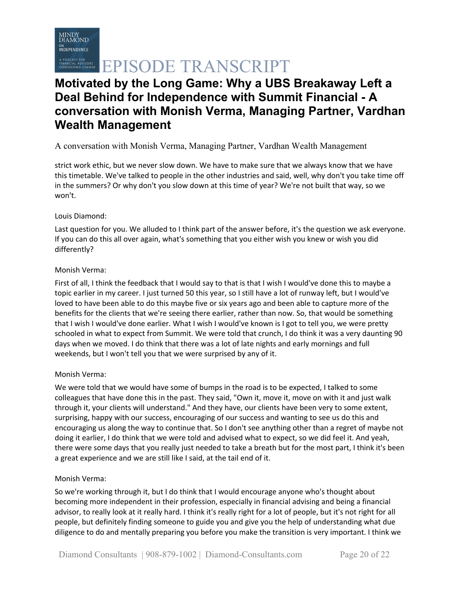# **Motivated by the Long Game: Why a UBS Breakaway Left a Deal Behind for Independence with Summit Financial - A conversation with Monish Verma, Managing Partner, Vardhan Wealth Management**

## A conversation with Monish Verma, Managing Partner, Vardhan Wealth Management

strict work ethic, but we never slow down. We have to make sure that we always know that we have this timetable. We've talked to people in the other industries and said, well, why don't you take time off in the summers? Or why don't you slow down at this time of year? We're not built that way, so we won't.

#### Louis Diamond:

Last question for you. We alluded to I think part of the answer before, it's the question we ask everyone. If you can do this all over again, what's something that you either wish you knew or wish you did differently?

#### Monish Verma:

First of all, I think the feedback that I would say to that is that I wish I would've done this to maybe a topic earlier in my career. I just turned 50 this year, so I still have a lot of runway left, but I would've loved to have been able to do this maybe five or six years ago and been able to capture more of the benefits for the clients that we're seeing there earlier, rather than now. So, that would be something that I wish I would've done earlier. What I wish I would've known is I got to tell you, we were pretty schooled in what to expect from Summit. We were told that crunch, I do think it was a very daunting 90 days when we moved. I do think that there was a lot of late nights and early mornings and full weekends, but I won't tell you that we were surprised by any of it.

### Monish Verma:

We were told that we would have some of bumps in the road is to be expected, I talked to some colleagues that have done this in the past. They said, "Own it, move it, move on with it and just walk through it, your clients will understand." And they have, our clients have been very to some extent, surprising, happy with our success, encouraging of our success and wanting to see us do this and encouraging us along the way to continue that. So I don't see anything other than a regret of maybe not doing it earlier, I do think that we were told and advised what to expect, so we did feel it. And yeah, there were some days that you really just needed to take a breath but for the most part, I think it's been a great experience and we are still like I said, at the tail end of it.

#### Monish Verma:

So we're working through it, but I do think that I would encourage anyone who's thought about becoming more independent in their profession, especially in financial advising and being a financial advisor, to really look at it really hard. I think it's really right for a lot of people, but it's not right for all people, but definitely finding someone to guide you and give you the help of understanding what due diligence to do and mentally preparing you before you make the transition is very important. I think we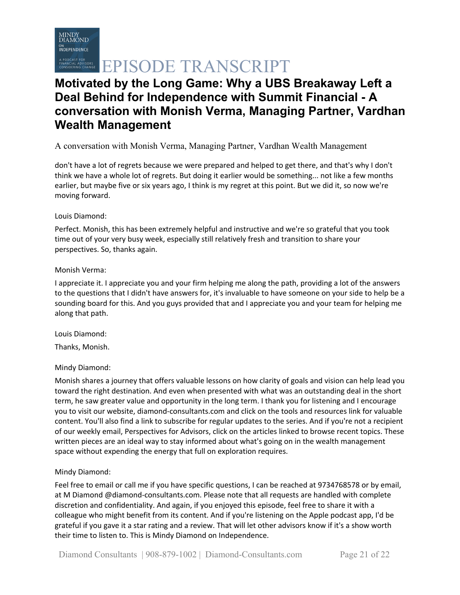# **Motivated by the Long Game: Why a UBS Breakaway Left a Deal Behind for Independence with Summit Financial - A conversation with Monish Verma, Managing Partner, Vardhan Wealth Management**

## A conversation with Monish Verma, Managing Partner, Vardhan Wealth Management

don't have a lot of regrets because we were prepared and helped to get there, and that's why I don't think we have a whole lot of regrets. But doing it earlier would be something... not like a few months earlier, but maybe five or six years ago, I think is my regret at this point. But we did it, so now we're moving forward.

#### Louis Diamond:

Perfect. Monish, this has been extremely helpful and instructive and we're so grateful that you took time out of your very busy week, especially still relatively fresh and transition to share your perspectives. So, thanks again.

#### Monish Verma:

I appreciate it. I appreciate you and your firm helping me along the path, providing a lot of the answers to the questions that I didn't have answers for, it's invaluable to have someone on your side to help be a sounding board for this. And you guys provided that and I appreciate you and your team for helping me along that path.

Louis Diamond:

Thanks, Monish.

### Mindy Diamond:

Monish shares a journey that offers valuable lessons on how clarity of goals and vision can help lead you toward the right destination. And even when presented with what was an outstanding deal in the short term, he saw greater value and opportunity in the long term. I thank you for listening and I encourage you to visit our website, diamond-consultants.com and click on the tools and resources link for valuable content. You'll also find a link to subscribe for regular updates to the series. And if you're not a recipient of our weekly email, Perspectives for Advisors, click on the articles linked to browse recent topics. These written pieces are an ideal way to stay informed about what's going on in the wealth management space without expending the energy that full on exploration requires.

### Mindy Diamond:

Feel free to email or call me if you have specific questions, I can be reached at 9734768578 or by email, at M Diamond @diamond-consultants.com. Please note that all requests are handled with complete discretion and confidentiality. And again, if you enjoyed this episode, feel free to share it with a colleague who might benefit from its content. And if you're listening on the Apple podcast app, I'd be grateful if you gave it a star rating and a review. That will let other advisors know if it's a show worth their time to listen to. This is Mindy Diamond on Independence.